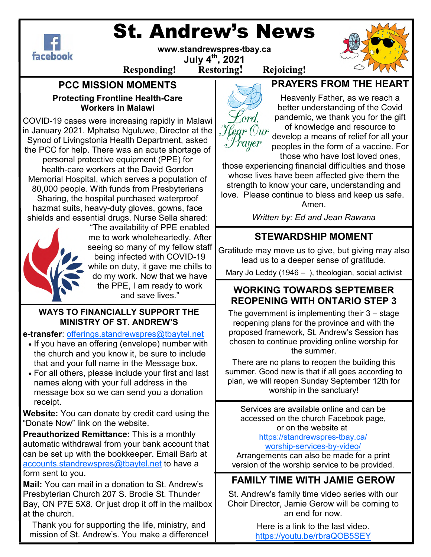# St. Andrew's News



**www.standrewspres-tbay.ca** 

**July 4th, 2021 Responding! Restoring! Rejoicing!**

#### **PCC MISSION MOMENTS Protecting Frontline Health-Care Workers in Malawi**

COVID-19 cases were increasing rapidly in Malawi in January 2021. Mphatso Nguluwe, Director at the Synod of Livingstonia Health Department, asked the PCC for help. There was an acute shortage of personal protective equipment (PPE) for health-care workers at the David Gordon Memorial Hospital, which serves a population of 80,000 people. With funds from Presbyterians Sharing, the hospital purchased waterproof hazmat suits, heavy-duty gloves, gowns, face shields and essential drugs. Nurse Sella shared:



"The availability of PPE enabled me to work wholeheartedly. After seeing so many of my fellow staff being infected with COVID-19 while on duty, it gave me chills to do my work. Now that we have the PPE, I am ready to work and save lives."

#### **WAYS TO FINANCIALLY SUPPORT THE MINISTRY OF ST. ANDREW'S**

**e-transfer**: offerings.standrewspres@tbaytel.net

- If you have an offering (envelope) number with the church and you know it, be sure to include that and your full name in the Message box.
- For all others, please include your first and last names along with your full address in the message box so we can send you a donation receipt.

**Website:** You can donate by credit card using the "Donate Now" link on the website.

**Preauthorized Remittance:** This is a monthly automatic withdrawal from your bank account that can be set up with the bookkeeper. Email Barb at accounts.standrewspres@tbaytel.net to have a form sent to you.

**Mail:** You can mail in a donation to St. Andrew's Presbyterian Church 207 S. Brodie St. Thunder Bay, ON P7E 5X8. Or just drop it off in the mailbox at the church.

Thank you for supporting the life, ministry, and mission of St. Andrew's. You make a difference!



## **PRAYERS FROM THE HEART**

Heavenly Father, as we reach a better understanding of the Covid pandemic, we thank you for the gift of knowledge and resource to develop a means of relief for all your peoples in the form of a vaccine. For those who have lost loved ones,

those experiencing financial difficulties and those whose lives have been affected give them the strength to know your care, understanding and love. Please continue to bless and keep us safe. Amen.

*Written by: Ed and Jean Rawana* 

## **STEWARDSHIP MOMENT**

Gratitude may move us to give, but giving may also lead us to a deeper sense of gratitude.

Mary Jo Leddy (1946 *–* ), theologian, social activist

### **WORKING TOWARDS SEPTEMBER REOPENING WITH ONTARIO STEP 3**

The government is implementing their 3 – stage reopening plans for the province and with the proposed framework, St. Andrew's Session has chosen to continue providing online worship for the summer.

There are no plans to reopen the building this summer. Good new is that if all goes according to plan, we will reopen Sunday September 12th for worship in the sanctuary!

Services are available online and can be accessed on the church Facebook page, or on the website at

https://standrewspres-tbay.ca/ worship-services-by-video/

Arrangements can also be made for a print version of the worship service to be provided.

## **FAMILY TIME WITH JAMIE GEROW**

St. Andrew's family time video series with our Choir Director, Jamie Gerow will be coming to an end for now.

> Here is a link to the last video. https://youtu.be/rbraQOB5SEY